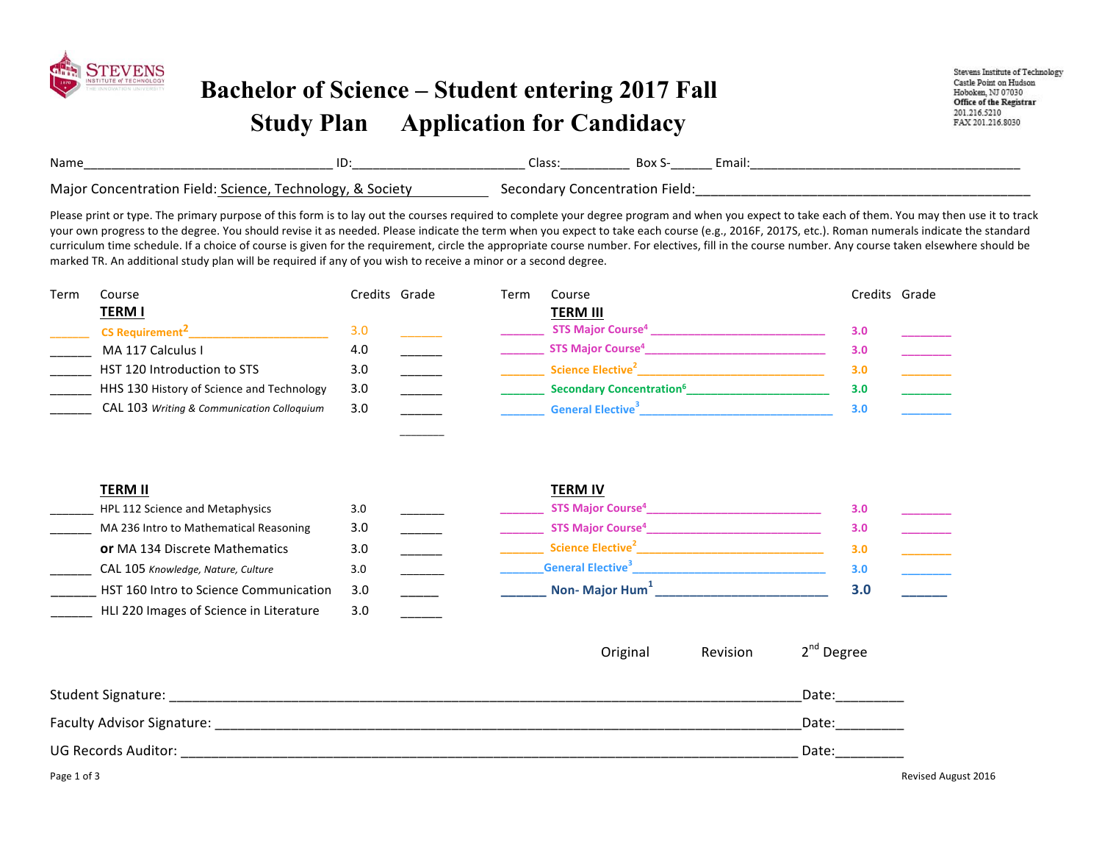

## **Bachelor of Science – Student entering 2017 Fall Study Plan Application for Candidacy**

Stevens Institute of Technology Castle Point on Hudson Hoboken, NJ 07030 Office of the Registrar 201.216.5210 FAX 201.216.8030

| Name                                             | שו                             | cidss<br>________ | ┘⌒<br>oux<br>________ | Email: |  |
|--------------------------------------------------|--------------------------------|-------------------|-----------------------|--------|--|
| Maior<br>scienci<br>-ield<br>nn<br>afion<br>וחם־ | ocie1<br>ນເບຣ<br>$\sim$<br>,ں۔ | nn<br>הוחרי       | ield                  |        |  |

Please print or type. The primary purpose of this form is to lay out the courses required to complete your degree program and when you expect to take each of them. You may then use it to track your own progress to the degree. You should revise it as needed. Please indicate the term when you expect to take each course (e.g., 2016F, 2017S, etc.). Roman numerals indicate the standard curriculum time schedule. If a choice of course is given for the requirement, circle the appropriate course number. For electives, fill in the course number. Any course taken elsewhere should be marked TR. An additional study plan will be required if any of you wish to receive a minor or a second degree.

| Term | Course                                     | Credits Grade | Term | Course                                      | Credits Grade |  |
|------|--------------------------------------------|---------------|------|---------------------------------------------|---------------|--|
|      | <u>TERM I</u>                              |               |      | <b>TERM III</b>                             |               |  |
|      | <b>CS Requirement<sup>2</sup></b>          | 3.0           |      | <b>STS Major Course<sup>4</sup></b>         | 3.0           |  |
|      | MA 117 Calculus I                          | 4.0           |      | <b>STS Major Course<sup>4</sup></b>         | 3.0           |  |
|      | HST 120 Introduction to STS                | 3.0           |      | Science Elective <sup>2</sup>               | 3.0           |  |
|      | HHS 130 History of Science and Technology  | 3.0           |      | <b>Secondary Concentration</b> <sup>6</sup> | 3.0           |  |
|      | CAL 103 Writing & Communication Colloquium | 3.0           |      | <b>General Elective</b> <sup>3</sup>        | 3.0           |  |

*\_\_\_\_\_\_\_\_*

| TERM II                                 |     | <b>TERM IV</b>                       |     |
|-----------------------------------------|-----|--------------------------------------|-----|
| HPL 112 Science and Metaphysics         | 3.0 | <b>STS Major Course<sup>4</sup></b>  | 3.0 |
| MA 236 Intro to Mathematical Reasoning  | 3.0 | <b>STS Major Course<sup>4</sup></b>  | 3.0 |
| <b>or</b> MA 134 Discrete Mathematics   | 3.0 | Science Elective <sup>2</sup>        | 3.0 |
| CAL 105 Knowledge, Nature, Culture      | 3.0 | <b>General Elective</b> <sup>3</sup> | 3.0 |
| HST 160 Intro to Science Communication  | 3.0 | Non-Major Hum <sup>+</sup>           | 3.0 |
| HLI 220 Images of Science in Literature | 3.0 |                                      |     |
|                                         |     |                                      |     |

|                            |  | $\vert$ Original   Revision $\vert$ $\vert$ 2 <sup>nd</sup> Degree |
|----------------------------|--|--------------------------------------------------------------------|
| Student Signature:         |  | Date:                                                              |
| Faculty Advisor Signature: |  | Date:                                                              |
| <b>UG Records Auditor:</b> |  | Date:                                                              |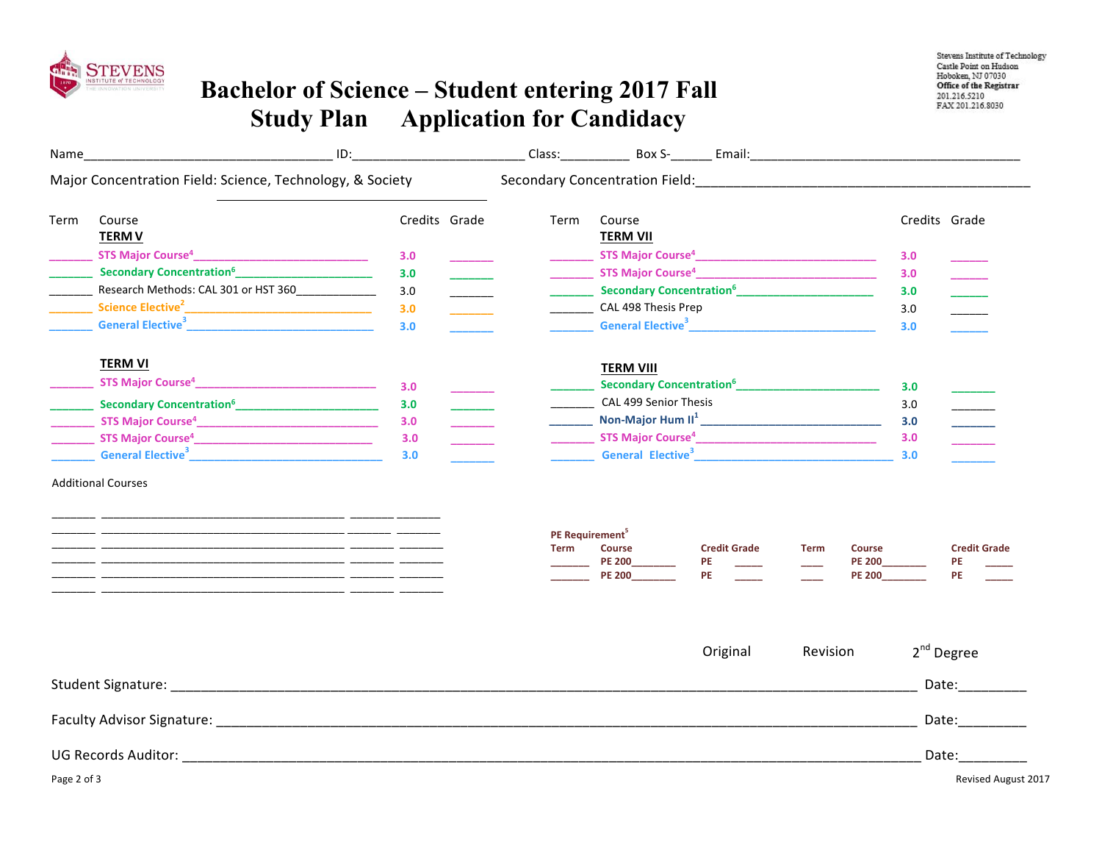

## **Bachelor of Science – Student entering 2017 Fall Study Plan Application for Candidacy**

| Name        | <u>ID: The Community of the Community of the Community of the Community of the Community of the Community of the Community of the Community of the Community of the Community of the Community of the Community of the Community</u>     |               |                                            | Class: Box S- Email:                                                                               |                                                                                           |
|-------------|------------------------------------------------------------------------------------------------------------------------------------------------------------------------------------------------------------------------------------------|---------------|--------------------------------------------|----------------------------------------------------------------------------------------------------|-------------------------------------------------------------------------------------------|
|             | Major Concentration Field: Science, Technology, & Society                                                                                                                                                                                |               |                                            |                                                                                                    |                                                                                           |
| Term        | Course<br><b>TERM V</b>                                                                                                                                                                                                                  | Credits Grade | Term                                       | Course<br><b>TERM VII</b>                                                                          | Credits Grade                                                                             |
|             |                                                                                                                                                                                                                                          | 3.0           |                                            |                                                                                                    | 3.0                                                                                       |
|             | <b>Secondary Concentration<sup>6</sup></b> [19] Secondary Concentration <sup>6</sup>                                                                                                                                                     | 3.0           |                                            |                                                                                                    | 3.0                                                                                       |
|             | __________ Research Methods: CAL 301 or HST 360_______________                                                                                                                                                                           | 3.0           |                                            | <b>Secondary Concentration<sup>6</sup></b> [19] Secondary Concentration <sup>6</sup>               | 3.0                                                                                       |
|             |                                                                                                                                                                                                                                          | 3.0           |                                            | CAL 498 Thesis Prep                                                                                | 3.0                                                                                       |
|             | General Elective <sup>3</sup> and the state of the state of the state of the state of the state of the state of the state of the state of the state of the state of the state of the state of the state of the state of the state of the | 3.0           |                                            |                                                                                                    | 3.0                                                                                       |
|             | <b>TERM VI</b>                                                                                                                                                                                                                           |               |                                            | <b>TERM VIII</b>                                                                                   |                                                                                           |
|             |                                                                                                                                                                                                                                          | 3.0           |                                            |                                                                                                    | 3.0                                                                                       |
|             | <b>______</b> Secondary Concentration <sup>6</sup> __________________________                                                                                                                                                            | 3.0           |                                            | <b>CAL 499 Senior Thesis</b>                                                                       | 3.0                                                                                       |
|             |                                                                                                                                                                                                                                          | 3.0           |                                            |                                                                                                    | 3.0                                                                                       |
|             |                                                                                                                                                                                                                                          | 3.0           |                                            |                                                                                                    | 3.0                                                                                       |
|             |                                                                                                                                                                                                                                          | 3.0           |                                            | General Elective <sup>3</sup>                                                                      | 3.0                                                                                       |
|             |                                                                                                                                                                                                                                          |               | PE Requirement <sup>5</sup><br><b>Term</b> | <b>Credit Grade</b><br><b>Course</b><br><b>Term</b><br><b>PE 200</b><br>PE<br>PE.<br><b>PE 200</b> | <b>Credit Grade</b><br>Course<br><b>PE 200</b><br><b>PE</b><br><b>PE</b><br><b>PE 200</b> |
|             | Student Signature: North States and Student Student Signature of the Student Signature:                                                                                                                                                  |               |                                            | Revision<br>Original                                                                               | $2nd$ Degree<br>Date:__________                                                           |
|             |                                                                                                                                                                                                                                          |               |                                            |                                                                                                    |                                                                                           |
|             |                                                                                                                                                                                                                                          |               |                                            |                                                                                                    | Date:__________                                                                           |
|             |                                                                                                                                                                                                                                          |               |                                            |                                                                                                    | Date:                                                                                     |
| Page 2 of 3 |                                                                                                                                                                                                                                          |               |                                            |                                                                                                    | <b>Revised August 2017</b>                                                                |